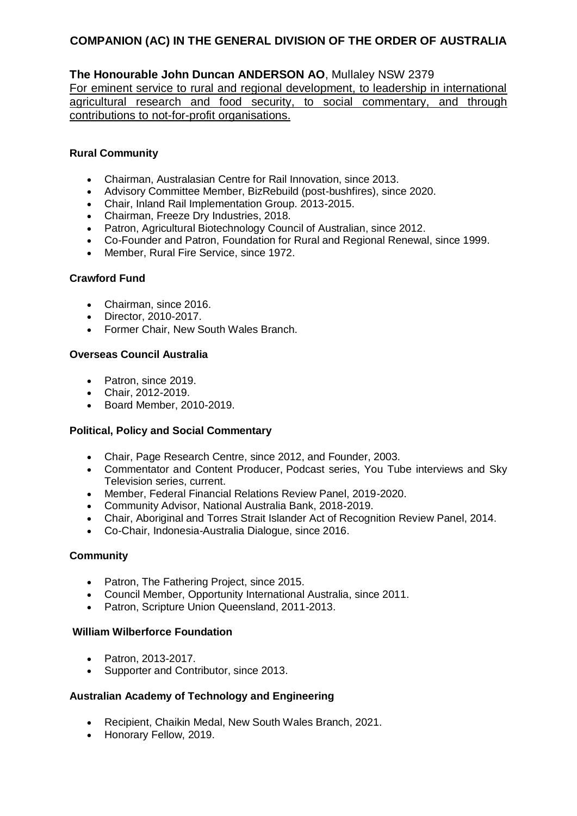## **The Honourable John Duncan ANDERSON AO**, Mullaley NSW 2379

For eminent service to rural and regional development, to leadership in international agricultural research and food security, to social commentary, and through contributions to not-for-profit organisations.

### **Rural Community**

- Chairman, Australasian Centre for Rail Innovation, since 2013.
- Advisory Committee Member, BizRebuild (post-bushfires), since 2020.
- Chair, Inland Rail Implementation Group. 2013-2015.
- Chairman, Freeze Dry Industries, 2018.
- Patron, Agricultural Biotechnology Council of Australian, since 2012.
- Co-Founder and Patron, Foundation for Rural and Regional Renewal, since 1999.
- Member, Rural Fire Service, since 1972.

### **Crawford Fund**

- Chairman, since 2016.
- Director, 2010-2017.
- Former Chair, New South Wales Branch.

### **Overseas Council Australia**

- Patron, since 2019.
- Chair, 2012-2019.
- Board Member, 2010-2019.

## **Political, Policy and Social Commentary**

- Chair, Page Research Centre, since 2012, and Founder, 2003.
- Commentator and Content Producer, Podcast series, You Tube interviews and Sky Television series, current.
- Member, Federal Financial Relations Review Panel, 2019-2020.
- Community Advisor, National Australia Bank, 2018-2019.
- Chair, Aboriginal and Torres Strait Islander Act of Recognition Review Panel, 2014.
- Co-Chair, Indonesia-Australia Dialogue, since 2016.

#### **Community**

- Patron, The Fathering Project, since 2015.
- Council Member, Opportunity International Australia, since 2011.
- Patron, Scripture Union Queensland, 2011-2013.

#### **William Wilberforce Foundation**

- Patron, 2013-2017.
- Supporter and Contributor, since 2013.

## **Australian Academy of Technology and Engineering**

- Recipient, Chaikin Medal, New South Wales Branch, 2021.
- Honorary Fellow, 2019.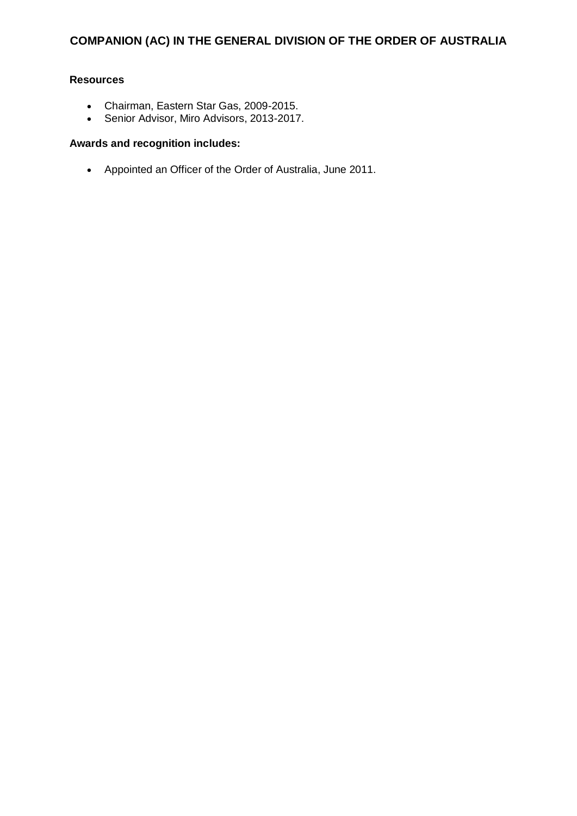### **Resources**

- Chairman, Eastern Star Gas, 2009-2015.
- Senior Advisor, Miro Advisors, 2013-2017.

### **Awards and recognition includes:**

Appointed an Officer of the Order of Australia, June 2011.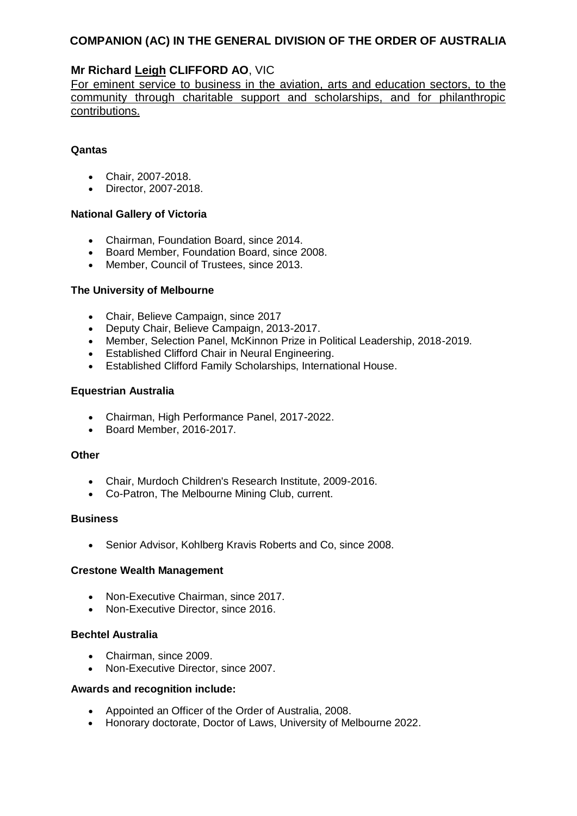## **Mr Richard Leigh CLIFFORD AO**, VIC

For eminent service to business in the aviation, arts and education sectors, to the community through charitable support and scholarships, and for philanthropic contributions.

#### **Qantas**

- Chair, 2007-2018.
- Director, 2007-2018.

#### **National Gallery of Victoria**

- Chairman, Foundation Board, since 2014.
- Board Member, Foundation Board, since 2008.
- Member, Council of Trustees, since 2013.

#### **The University of Melbourne**

- Chair, Believe Campaign, since 2017
- Deputy Chair, Believe Campaign, 2013-2017.
- Member, Selection Panel, McKinnon Prize in Political Leadership, 2018-2019.
- Established Clifford Chair in Neural Engineering.
- Established Clifford Family Scholarships, International House.

#### **Equestrian Australia**

- Chairman, High Performance Panel, 2017-2022.
- Board Member, 2016-2017.

#### **Other**

- Chair, Murdoch Children's Research Institute, 2009-2016.
- Co-Patron, The Melbourne Mining Club, current.

#### **Business**

• Senior Advisor, Kohlberg Kravis Roberts and Co, since 2008.

#### **Crestone Wealth Management**

- Non-Executive Chairman, since 2017.
- Non-Executive Director, since 2016.

#### **Bechtel Australia**

- Chairman, since 2009.
- Non-Executive Director, since 2007.

- Appointed an Officer of the Order of Australia, 2008.
- Honorary doctorate, Doctor of Laws, University of Melbourne 2022.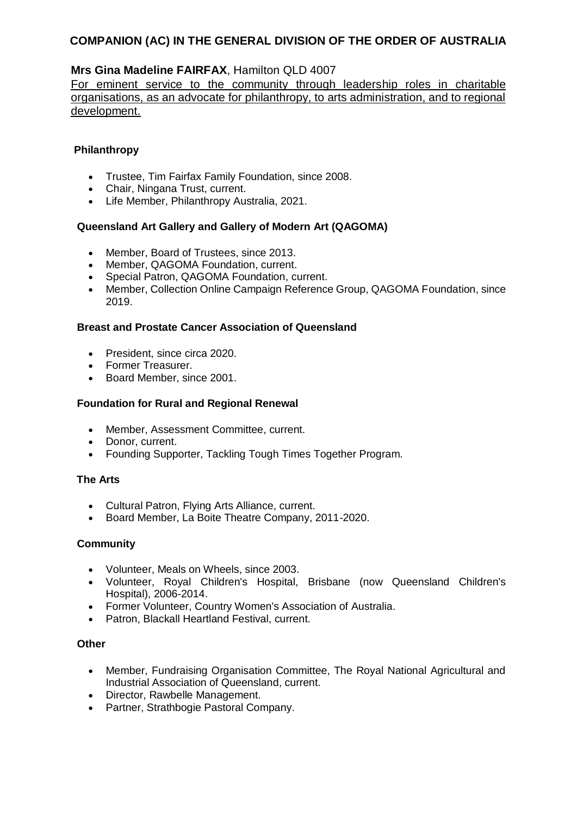## **Mrs Gina Madeline FAIRFAX**, Hamilton QLD 4007

For eminent service to the community through leadership roles in charitable organisations, as an advocate for philanthropy, to arts administration, and to regional development.

### **Philanthropy**

- Trustee, Tim Fairfax Family Foundation, since 2008.
- Chair, Ningana Trust, current.
- Life Member, Philanthropy Australia, 2021.

### **Queensland Art Gallery and Gallery of Modern Art (QAGOMA)**

- Member, Board of Trustees, since 2013.
- Member, QAGOMA Foundation, current.
- Special Patron, QAGOMA Foundation, current.
- Member, Collection Online Campaign Reference Group, QAGOMA Foundation, since 2019.

#### **Breast and Prostate Cancer Association of Queensland**

- President, since circa 2020.
- Former Treasurer.
- Board Member, since 2001.

### **Foundation for Rural and Regional Renewal**

- Member, Assessment Committee, current.
- Donor, current.
- Founding Supporter, Tackling Tough Times Together Program.

#### **The Arts**

- Cultural Patron, Flying Arts Alliance, current.
- Board Member, La Boite Theatre Company, 2011-2020.

#### **Community**

- Volunteer, Meals on Wheels, since 2003.
- Volunteer, Royal Children's Hospital, Brisbane (now Queensland Children's Hospital), 2006-2014.
- Former Volunteer, Country Women's Association of Australia.
- Patron, Blackall Heartland Festival, current.

#### **Other**

- Member, Fundraising Organisation Committee, The Royal National Agricultural and Industrial Association of Queensland, current.
- Director, Rawbelle Management.
- Partner, Strathbogie Pastoral Company.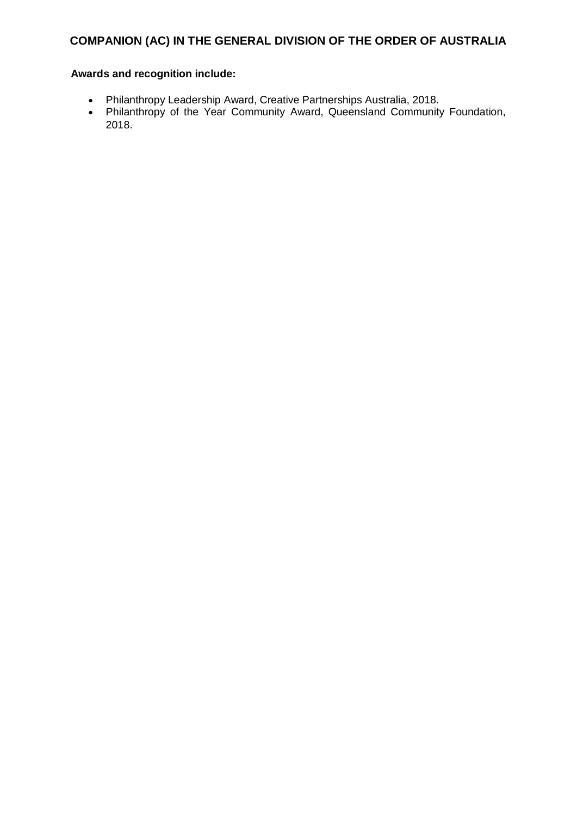- Philanthropy Leadership Award, Creative Partnerships Australia, 2018.
- Philanthropy of the Year Community Award, Queensland Community Foundation, 2018.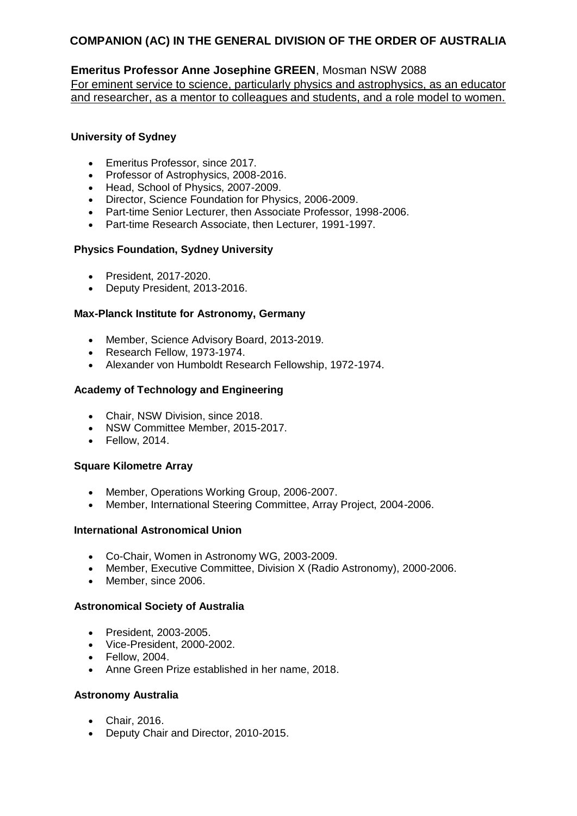## **Emeritus Professor Anne Josephine GREEN**, Mosman NSW 2088

For eminent service to science, particularly physics and astrophysics, as an educator and researcher, as a mentor to colleagues and students, and a role model to women.

#### **University of Sydney**

- Emeritus Professor, since 2017.
- Professor of Astrophysics, 2008-2016.
- Head, School of Physics, 2007-2009.
- Director, Science Foundation for Physics, 2006-2009.
- Part-time Senior Lecturer, then Associate Professor, 1998-2006.
- Part-time Research Associate, then Lecturer, 1991-1997.

### **Physics Foundation, Sydney University**

- President, 2017-2020.
- Deputy President, 2013-2016.

### **Max-Planck Institute for Astronomy, Germany**

- Member, Science Advisory Board, 2013-2019.
- Research Fellow, 1973-1974.
- Alexander von Humboldt Research Fellowship, 1972-1974.

### **Academy of Technology and Engineering**

- Chair, NSW Division, since 2018.
- NSW Committee Member, 2015-2017.
- Fellow, 2014.

#### **Square Kilometre Array**

- Member, Operations Working Group, 2006-2007.
- Member, International Steering Committee, Array Project, 2004-2006.

#### **International Astronomical Union**

- Co-Chair, Women in Astronomy WG, 2003-2009.
- Member, Executive Committee, Division X (Radio Astronomy), 2000-2006.
- Member, since 2006.

#### **Astronomical Society of Australia**

- President, 2003-2005.
- Vice-President, 2000-2002.
- Fellow, 2004.
- Anne Green Prize established in her name, 2018.

#### **Astronomy Australia**

- Chair, 2016.
- Deputy Chair and Director, 2010-2015.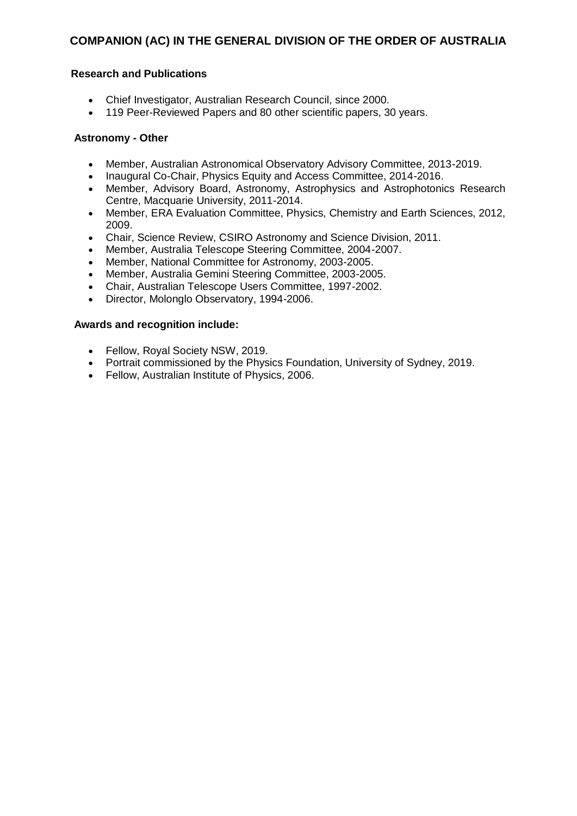#### **Research and Publications**

- Chief Investigator, Australian Research Council, since 2000.
- 119 Peer-Reviewed Papers and 80 other scientific papers, 30 years.

#### **Astronomy - Other**

- Member, Australian Astronomical Observatory Advisory Committee, 2013-2019.
- Inaugural Co-Chair, Physics Equity and Access Committee, 2014-2016.
- Member, Advisory Board, Astronomy, Astrophysics and Astrophotonics Research Centre, Macquarie University, 2011-2014.
- Member, ERA Evaluation Committee, Physics, Chemistry and Earth Sciences, 2012, 2009.
- Chair, Science Review, CSIRO Astronomy and Science Division, 2011.
- Member, Australia Telescope Steering Committee, 2004-2007.
- Member, National Committee for Astronomy, 2003-2005.
- Member, Australia Gemini Steering Committee, 2003-2005.
- Chair, Australian Telescope Users Committee, 1997-2002.
- Director, Molonglo Observatory, 1994-2006.

- Fellow, Royal Society NSW, 2019.
- Portrait commissioned by the Physics Foundation, University of Sydney, 2019.
- Fellow, Australian Institute of Physics, 2006.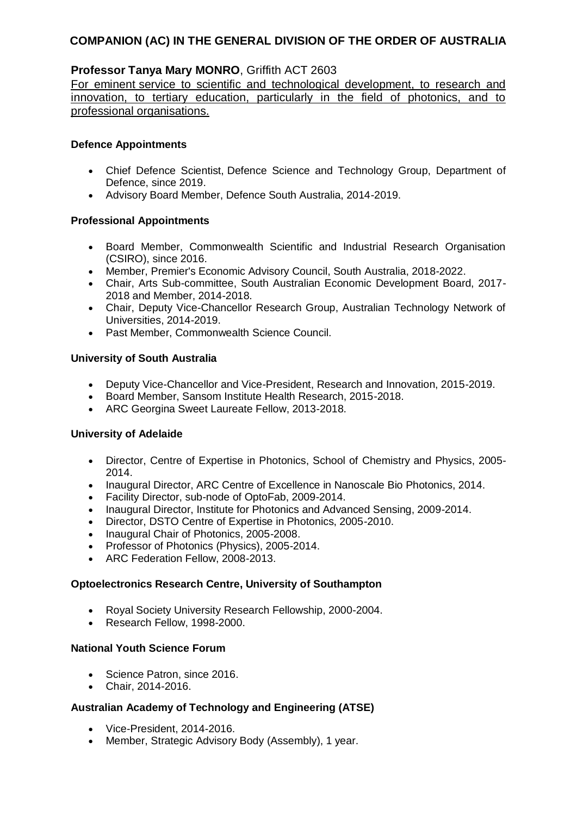## **Professor Tanya Mary MONRO**, Griffith ACT 2603

For eminent service to scientific and technological development, to research and innovation, to tertiary education, particularly in the field of photonics, and to professional organisations.

#### **Defence Appointments**

- Chief Defence Scientist, Defence Science and Technology Group, Department of Defence, since 2019.
- Advisory Board Member, Defence South Australia, 2014-2019.

### **Professional Appointments**

- Board Member, Commonwealth Scientific and Industrial Research Organisation (CSIRO), since 2016.
- Member, Premier's Economic Advisory Council, South Australia, 2018-2022.
- Chair, Arts Sub-committee, South Australian Economic Development Board, 2017- 2018 and Member, 2014-2018.
- Chair, Deputy Vice-Chancellor Research Group, Australian Technology Network of Universities, 2014-2019.
- Past Member, Commonwealth Science Council.

### **University of South Australia**

- Deputy Vice-Chancellor and Vice-President, Research and Innovation, 2015-2019.
- Board Member, Sansom Institute Health Research, 2015-2018.
- ARC Georgina Sweet Laureate Fellow, 2013-2018.

## **University of Adelaide**

- Director, Centre of Expertise in Photonics, School of Chemistry and Physics, 2005- 2014.
- Inaugural Director, ARC Centre of Excellence in Nanoscale Bio Photonics, 2014.
- Facility Director, sub-node of OptoFab, 2009-2014.
- Inaugural Director, Institute for Photonics and Advanced Sensing, 2009-2014.
- Director, DSTO Centre of Expertise in Photonics, 2005-2010.
- Inaugural Chair of Photonics, 2005-2008.
- Professor of Photonics (Physics), 2005-2014.
- ARC Federation Fellow, 2008-2013.

#### **Optoelectronics Research Centre, University of Southampton**

- Royal Society University Research Fellowship, 2000-2004.
- Research Fellow, 1998-2000.

#### **National Youth Science Forum**

- Science Patron, since 2016.
- Chair, 2014-2016.

## **Australian Academy of Technology and Engineering (ATSE)**

- Vice-President, 2014-2016.
- Member, Strategic Advisory Body (Assembly), 1 year.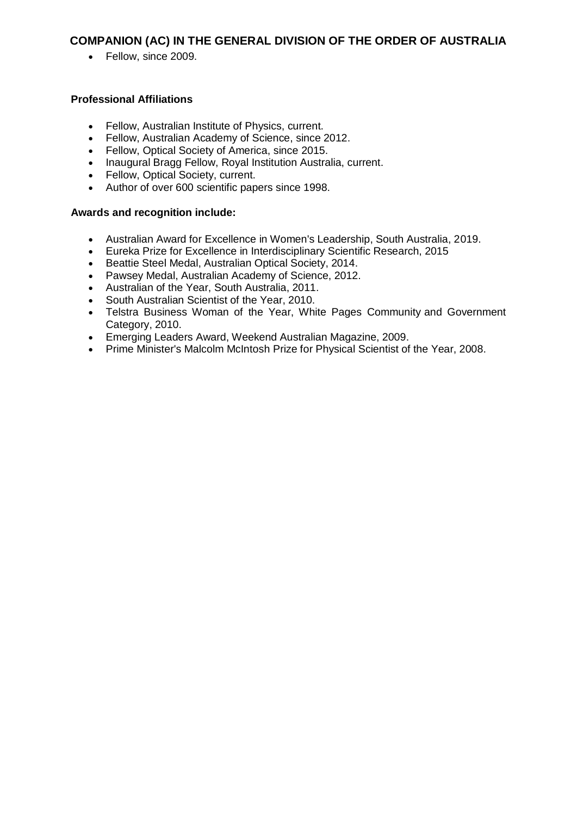• Fellow, since 2009.

### **Professional Affiliations**

- Fellow, Australian Institute of Physics, current.
- Fellow, Australian Academy of Science, since 2012.
- Fellow, Optical Society of America, since 2015.
- Inaugural Bragg Fellow, Royal Institution Australia, current.
- Fellow, Optical Society, current.
- Author of over 600 scientific papers since 1998.

- Australian Award for Excellence in Women's Leadership, South Australia, 2019.
- Eureka Prize for Excellence in Interdisciplinary Scientific Research, 2015
- Beattie Steel Medal, Australian Optical Society, 2014.
- Pawsey Medal, Australian Academy of Science, 2012.
- Australian of the Year, South Australia, 2011.
- South Australian Scientist of the Year, 2010.
- Telstra Business Woman of the Year, White Pages Community and Government Category, 2010.
- Emerging Leaders Award, Weekend Australian Magazine, 2009.
- Prime Minister's Malcolm McIntosh Prize for Physical Scientist of the Year, 2008.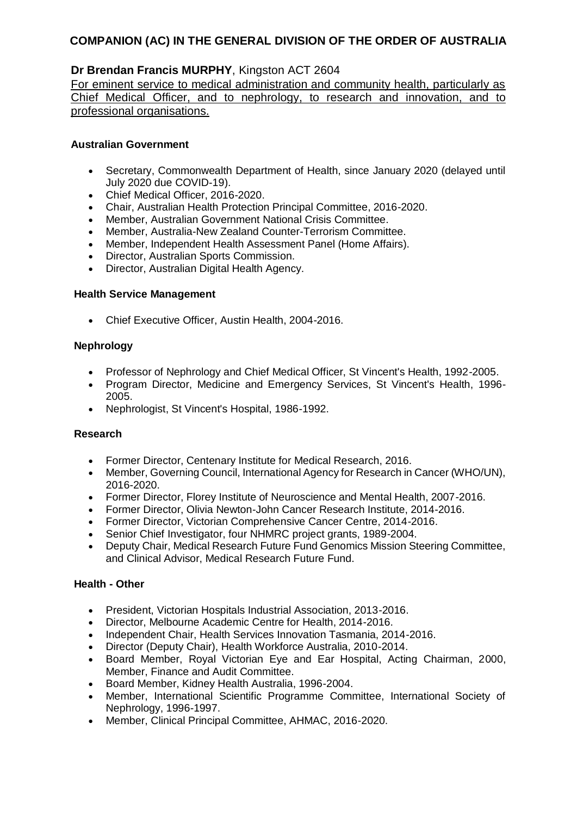## **Dr Brendan Francis MURPHY**, Kingston ACT 2604

For eminent service to medical administration and community health, particularly as Chief Medical Officer, and to nephrology, to research and innovation, and to professional organisations.

#### **Australian Government**

- Secretary, Commonwealth Department of Health, since January 2020 (delayed until July 2020 due COVID-19).
- Chief Medical Officer, 2016-2020.
- Chair, Australian Health Protection Principal Committee, 2016-2020.
- Member, Australian Government National Crisis Committee.
- Member, Australia-New Zealand Counter-Terrorism Committee.
- Member, Independent Health Assessment Panel (Home Affairs).
- Director, Australian Sports Commission.
- Director, Australian Digital Health Agency.

#### **Health Service Management**

Chief Executive Officer, Austin Health, 2004-2016.

#### **Nephrology**

- Professor of Nephrology and Chief Medical Officer, St Vincent's Health, 1992-2005.
- Program Director, Medicine and Emergency Services, St Vincent's Health, 1996- 2005.
- Nephrologist, St Vincent's Hospital, 1986-1992.

#### **Research**

- Former Director, Centenary Institute for Medical Research, 2016.
- Member, Governing Council, International Agency for Research in Cancer (WHO/UN), 2016-2020.
- Former Director, Florey Institute of Neuroscience and Mental Health, 2007-2016.
- Former Director, Olivia Newton-John Cancer Research Institute, 2014-2016.
- Former Director, Victorian Comprehensive Cancer Centre, 2014-2016.
- Senior Chief Investigator, four NHMRC project grants, 1989-2004.
- Deputy Chair, Medical Research Future Fund Genomics Mission Steering Committee, and Clinical Advisor, Medical Research Future Fund.

#### **Health - Other**

- President, Victorian Hospitals Industrial Association, 2013-2016.
- Director, Melbourne Academic Centre for Health, 2014-2016.
- Independent Chair, Health Services Innovation Tasmania, 2014-2016.
- Director (Deputy Chair), Health Workforce Australia, 2010-2014.
- Board Member, Royal Victorian Eye and Ear Hospital, Acting Chairman, 2000, Member, Finance and Audit Committee.
- Board Member, Kidney Health Australia, 1996-2004.
- Member, International Scientific Programme Committee, International Society of Nephrology, 1996-1997.
- Member, Clinical Principal Committee, AHMAC, 2016-2020.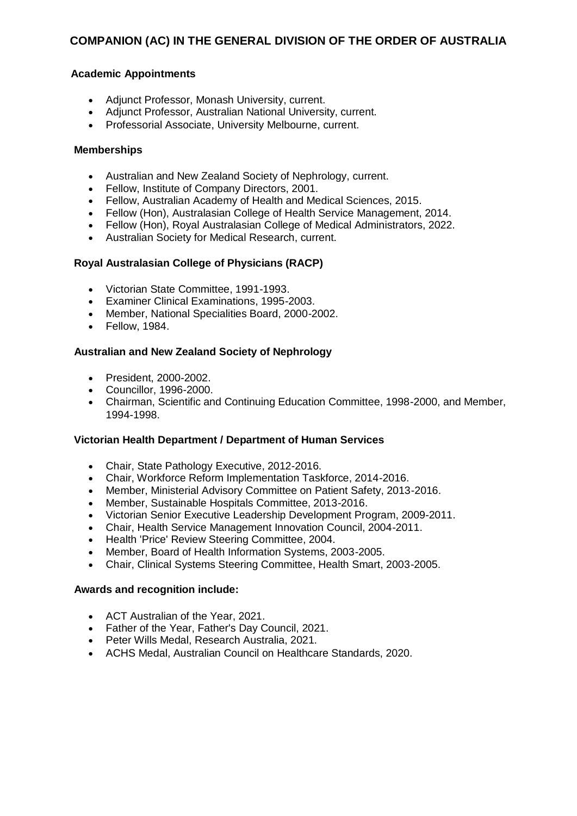#### **Academic Appointments**

- Adjunct Professor, Monash University, current.
- Adjunct Professor, Australian National University, current.
- Professorial Associate, University Melbourne, current.

#### **Memberships**

- Australian and New Zealand Society of Nephrology, current.
- Fellow, Institute of Company Directors, 2001.
- Fellow, Australian Academy of Health and Medical Sciences, 2015.
- Fellow (Hon), Australasian College of Health Service Management, 2014.
- Fellow (Hon), Royal Australasian College of Medical Administrators, 2022.
- Australian Society for Medical Research, current.

#### **Royal Australasian College of Physicians (RACP)**

- Victorian State Committee, 1991-1993.
- Examiner Clinical Examinations, 1995-2003.
- Member, National Specialities Board, 2000-2002.
- Fellow, 1984.

#### **Australian and New Zealand Society of Nephrology**

- President, 2000-2002.
- Councillor, 1996-2000.
- Chairman, Scientific and Continuing Education Committee, 1998-2000, and Member, 1994-1998.

#### **Victorian Health Department / Department of Human Services**

- Chair, State Pathology Executive, 2012-2016.
- Chair, Workforce Reform Implementation Taskforce, 2014-2016.
- Member, Ministerial Advisory Committee on Patient Safety, 2013-2016.
- Member, Sustainable Hospitals Committee, 2013-2016.
- Victorian Senior Executive Leadership Development Program, 2009-2011.
- Chair, Health Service Management Innovation Council, 2004-2011.
- Health 'Price' Review Steering Committee, 2004.
- Member, Board of Health Information Systems, 2003-2005.
- Chair, Clinical Systems Steering Committee, Health Smart, 2003-2005.

- ACT Australian of the Year, 2021.
- Father of the Year, Father's Day Council, 2021.
- Peter Wills Medal, Research Australia, 2021.
- ACHS Medal, Australian Council on Healthcare Standards, 2020.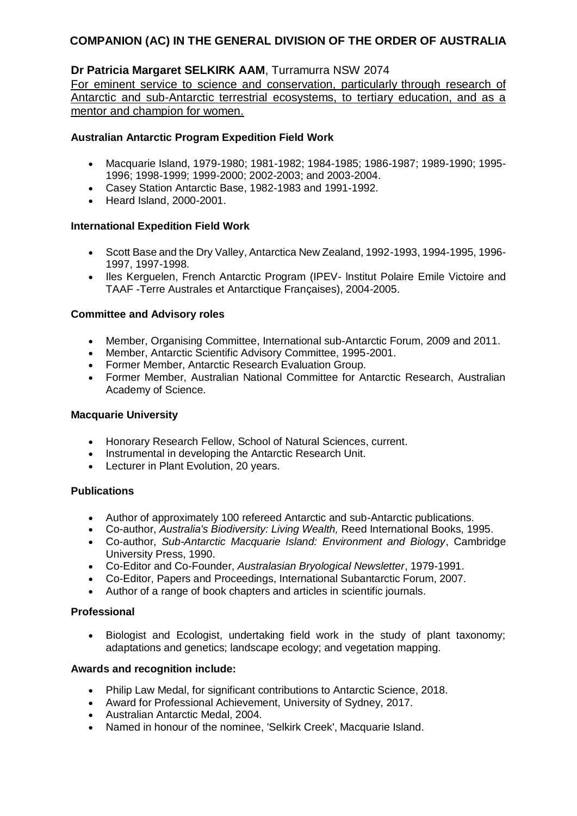## **Dr Patricia Margaret SELKIRK AAM**, Turramurra NSW 2074

For eminent service to science and conservation, particularly through research of Antarctic and sub-Antarctic terrestrial ecosystems, to tertiary education, and as a mentor and champion for women.

#### **Australian Antarctic Program Expedition Field Work**

- Macquarie Island, 1979-1980; 1981-1982; 1984-1985; 1986-1987; 1989-1990; 1995- 1996; 1998-1999; 1999-2000; 2002-2003; and 2003-2004.
- Casey Station Antarctic Base, 1982-1983 and 1991-1992.
- Heard Island, 2000-2001.

### **International Expedition Field Work**

- Scott Base and the Dry Valley, Antarctica New Zealand, 1992-1993, 1994-1995, 1996- 1997, 1997-1998.
- Iles Kerguelen, French Antarctic Program (IPEV- Institut Polaire Emile Victoire and TAAF -Terre Australes et Antarctique Françaises), 2004-2005.

#### **Committee and Advisory roles**

- Member, Organising Committee, International sub-Antarctic Forum, 2009 and 2011.
- Member, Antarctic Scientific Advisory Committee, 1995-2001.
- Former Member, Antarctic Research Evaluation Group.
- Former Member, Australian National Committee for Antarctic Research, Australian Academy of Science.

#### **Macquarie University**

- Honorary Research Fellow, School of Natural Sciences, current.
- Instrumental in developing the Antarctic Research Unit.
- Lecturer in Plant Evolution, 20 years.

#### **Publications**

- Author of approximately 100 refereed Antarctic and sub-Antarctic publications.
- Co-author, *Australia's Biodiversity: Living Wealth,* Reed International Books, 1995.
- Co-author, *Sub-Antarctic Macquarie Island: Environment and Biology*, Cambridge University Press, 1990.
- Co-Editor and Co-Founder, *Australasian Bryological Newsletter*, 1979-1991.
- Co-Editor, Papers and Proceedings, International Subantarctic Forum, 2007.
- Author of a range of book chapters and articles in scientific journals.

#### **Professional**

 Biologist and Ecologist, undertaking field work in the study of plant taxonomy; adaptations and genetics; landscape ecology; and vegetation mapping.

- Philip Law Medal, for significant contributions to Antarctic Science, 2018.
- Award for Professional Achievement, University of Sydney, 2017.
- Australian Antarctic Medal, 2004.
- Named in honour of the nominee, 'Selkirk Creek', Macquarie Island.